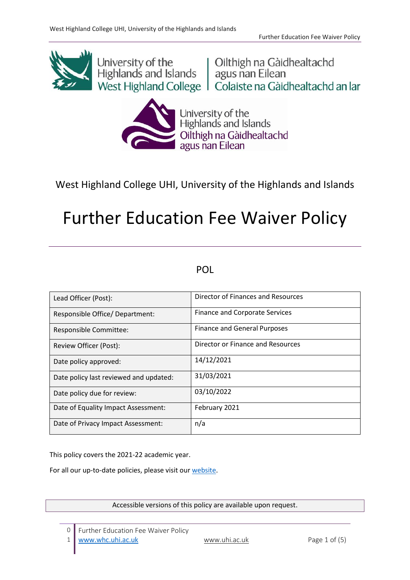

University of the University of the University of the University of the University of the University nan Eilean West Highland College | Colaiste na Gàidhealtachd an Iar



University of the<br>Highlands and Islands Oilthigh na Gàidhealtachd<br>agus nan Eilean

West Highland College UHI, University of the Highlands and Islands

# Further Education Fee Waiver Policy

# POL

| Lead Officer (Post):                   | Director of Finances and Resources    |
|----------------------------------------|---------------------------------------|
| Responsible Office/ Department:        | <b>Finance and Corporate Services</b> |
| Responsible Committee:                 | Finance and General Purposes          |
| Review Officer (Post):                 | Director or Finance and Resources     |
| Date policy approved:                  | 14/12/2021                            |
| Date policy last reviewed and updated: | 31/03/2021                            |
| Date policy due for review:            | 03/10/2022                            |
| Date of Equality Impact Assessment:    | February 2021                         |
| Date of Privacy Impact Assessment:     | n/a                                   |

This policy covers the 2021-22 academic year.

For all our up-to-date policies, please visit our [website.](https://www.whc.uhi.ac.uk/about-us/governance/policies/)

Accessible versions of this policy are available upon request.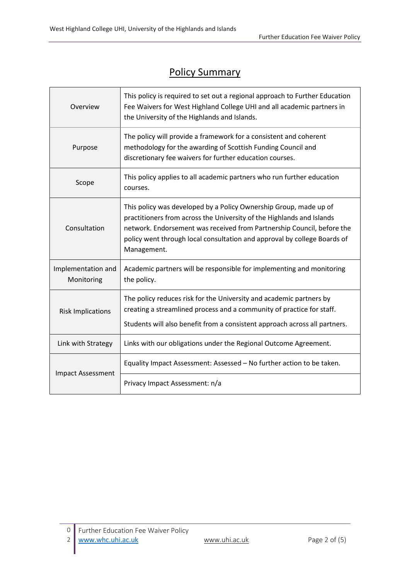٦

# Policy Summary

| Overview                         | This policy is required to set out a regional approach to Further Education<br>Fee Waivers for West Highland College UHI and all academic partners in<br>the University of the Highlands and Islands.                                                                                                           |  |  |
|----------------------------------|-----------------------------------------------------------------------------------------------------------------------------------------------------------------------------------------------------------------------------------------------------------------------------------------------------------------|--|--|
| Purpose                          | The policy will provide a framework for a consistent and coherent<br>methodology for the awarding of Scottish Funding Council and<br>discretionary fee waivers for further education courses.                                                                                                                   |  |  |
| Scope                            | This policy applies to all academic partners who run further education<br>courses.                                                                                                                                                                                                                              |  |  |
| Consultation                     | This policy was developed by a Policy Ownership Group, made up of<br>practitioners from across the University of the Highlands and Islands<br>network. Endorsement was received from Partnership Council, before the<br>policy went through local consultation and approval by college Boards of<br>Management. |  |  |
| Implementation and<br>Monitoring | Academic partners will be responsible for implementing and monitoring<br>the policy.                                                                                                                                                                                                                            |  |  |
| <b>Risk Implications</b>         | The policy reduces risk for the University and academic partners by<br>creating a streamlined process and a community of practice for staff.<br>Students will also benefit from a consistent approach across all partners.                                                                                      |  |  |
| Link with Strategy               | Links with our obligations under the Regional Outcome Agreement.                                                                                                                                                                                                                                                |  |  |
| <b>Impact Assessment</b>         | Equality Impact Assessment: Assessed - No further action to be taken.                                                                                                                                                                                                                                           |  |  |
|                                  | Privacy Impact Assessment: n/a                                                                                                                                                                                                                                                                                  |  |  |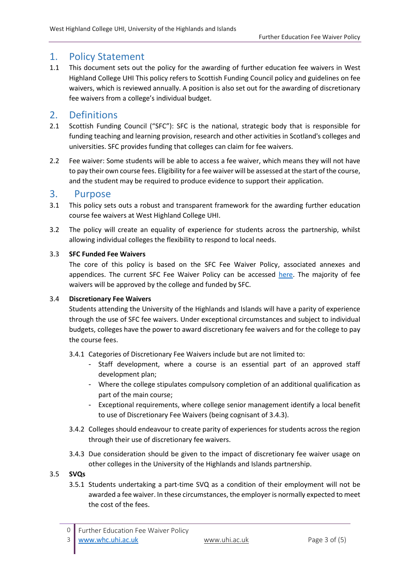# 1. Policy Statement

1.1 This document sets out the policy for the awarding of further education fee waivers in West Highland College UHI This policy refers to Scottish Funding Council policy and guidelines on fee waivers, which is reviewed annually. A position is also set out for the awarding of discretionary fee waivers from a college's individual budget.

# 2. Definitions

- 2.1 Scottish Funding Council ("SFC"): SFC is the national, strategic body that is responsible for funding teaching and learning provision, research and other activities in Scotland's colleges and universities. SFC provides funding that colleges can claim for fee waivers.
- 2.2 Fee waiver: Some students will be able to access a fee waiver, which means they will not have to pay their own course fees. Eligibility for a fee waiver will be assessed at the start of the course, and the student may be required to produce evidence to support their application.

## 3. Purpose

- 3.1 This policy sets outs a robust and transparent framework for the awarding further education course fee waivers at West Highland College UHI.
- 3.2 The policy will create an equality of experience for students across the partnership, whilst allowing individual colleges the flexibility to respond to local needs.

#### 3.3 **SFC Funded Fee Waivers**

The core of this policy is based on the SFC Fee Waiver Policy, associated annexes and appendices. The current SFC Fee Waiver Policy can be accessed [here.](http://www.sfc.ac.uk/publications-statistics/guidance/2020/SFCGD092020.aspx) The majority of fee waivers will be approved by the college and funded by SFC.

#### 3.4 **Discretionary Fee Waivers**

Students attending the University of the Highlands and Islands will have a parity of experience through the use of SFC fee waivers. Under exceptional circumstances and subject to individual budgets, colleges have the power to award discretionary fee waivers and for the college to pay the course fees.

- 3.4.1 Categories of Discretionary Fee Waivers include but are not limited to:
	- Staff development, where a course is an essential part of an approved staff development plan;
	- Where the college stipulates compulsory completion of an additional qualification as part of the main course;
	- Exceptional requirements, where college senior management identify a local benefit to use of Discretionary Fee Waivers (being cognisant of 3.4.3).
- 3.4.2 Colleges should endeavour to create parity of experiences for students across the region through their use of discretionary fee waivers.
- 3.4.3 Due consideration should be given to the impact of discretionary fee waiver usage on other colleges in the University of the Highlands and Islands partnership.

#### 3.5 **SVQs**

3.5.1 Students undertaking a part-time SVQ as a condition of their employment will not be awarded a fee waiver. In these circumstances, the employer is normally expected to meet the cost of the fees.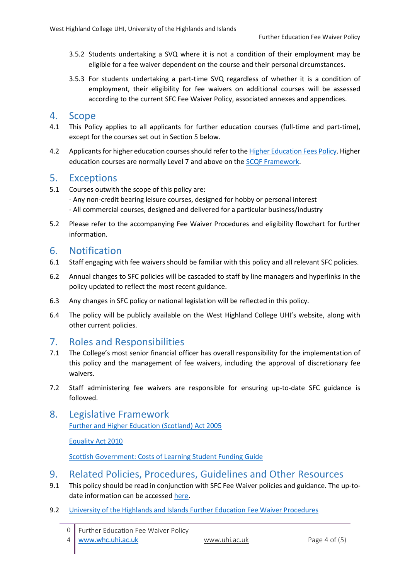- 3.5.2 Students undertaking a SVQ where it is not a condition of their employment may be eligible for a fee waiver dependent on the course and their personal circumstances.
- 3.5.3 For students undertaking a part-time SVQ regardless of whether it is a condition of employment, their eligibility for fee waivers on additional courses will be assessed according to the current SFC Fee Waiver Policy, associated annexes and appendices.

## 4. Scope

- 4.1 This Policy applies to all applicants for further education courses (full-time and part-time), except for the courses set out in Section 5 below.
- 4.2 Applicants for higher education courses should refer to th[e Higher Education Fees Policy.](https://www.uhi.ac.uk/en/about-uhi/governance/policies-and-regulations/policies/) Higher education courses are normally Level 7 and above on the [SCQF Framework.](http://scqf.org.uk/interactive-framework/)

# 5. Exceptions

- 5.1 Courses outwith the scope of this policy are:
	- Any non-credit bearing leisure courses, designed for hobby or personal interest
	- All commercial courses, designed and delivered for a particular business/industry
- 5.2 Please refer to the accompanying Fee Waiver Procedures and eligibility flowchart for further information.

# 6. Notification

- 6.1 Staff engaging with fee waivers should be familiar with this policy and all relevant SFC policies.
- 6.2 Annual changes to SFC policies will be cascaded to staff by line managers and hyperlinks in the policy updated to reflect the most recent guidance.
- 6.3 Any changes in SFC policy or national legislation will be reflected in this policy.
- 6.4 The policy will be publicly available on the West Highland College UHI's website, along with other current policies.

# 7. Roles and Responsibilities

- 7.1 The College's most senior financial officer has overall responsibility for the implementation of this policy and the management of fee waivers, including the approval of discretionary fee waivers.
- 7.2 Staff administering fee waivers are responsible for ensuring up-to-date SFC guidance is followed.

## 8. Legislative Framework [Further and Higher Education \(Scotland\) Act 2005](https://www.legislation.gov.uk/asp/2005/6/contents)

[Equality Act 2010](https://www.legislation.gov.uk/ukpga/2010/15/contents)

[Scottish Government: Costs of Learning Student Funding Guide](https://www.gov.scot/publications/helping-meet-costs-learning-training-guide-funding-2019-2020/)

# 9. Related Policies, Procedures, Guidelines and Other Resources

- 9.1 This policy should be read in conjunction with SFC Fee Waiver policies and guidance. The up-todate information can be accessed [here.](http://www.sfc.ac.uk/publications-statistics/guidance/2020/SFCGD092020.aspx)
- 9.2 [University of the Highlands and Islands Further Education Fee Waiver Procedures](https://staff.whc.uhi.ac.uk/Downloads/All-Policies/AssociatedDocuments/FeeWaiver-Procedures.pdf)